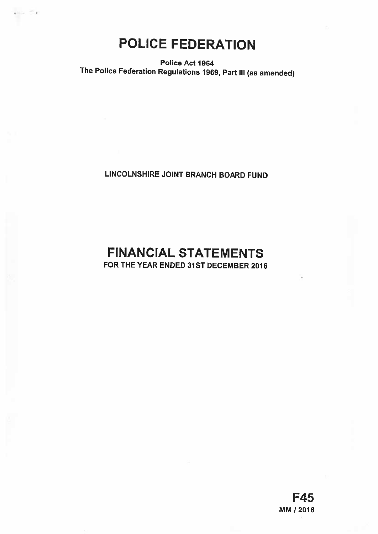POLICE FEDERATION

Police Act 1964 The Police Federation Regulations 1969, Part Ill (as amended)

LINCOLNSHIRE JOINT BRANCH BOARD FUND

# FINANCIAL STATEMENTS FOR THE YEAR ENDED 31ST DECEMBER 2016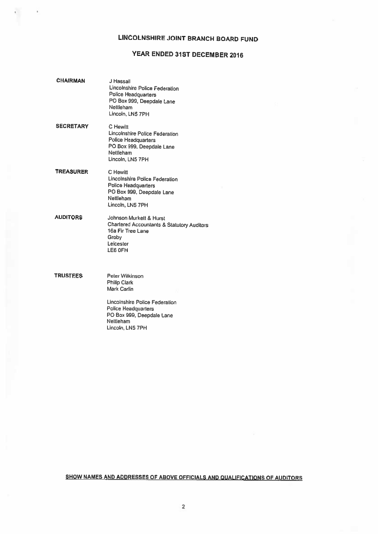# LINCOLNSHIRE JOINT BRANCH BOARD FUND

# YEAR ENDED 31ST DECEMBER 2016

| <b>CHAIRMAN</b>  | J Hassall<br>Lincolnshire Police Federation<br>Police Headquarters<br>PO Box 999, Deepdale Lane<br>Nettleham<br>Lincoln, LN5 7PH                                             |
|------------------|------------------------------------------------------------------------------------------------------------------------------------------------------------------------------|
| <b>SECRETARY</b> | C Hewitt<br>Lincolnshire Police Federation<br>Police Headquarters<br>PO Box 999, Deepdale Lane<br>Nettleham<br>Lincoln, LN5 7PH                                              |
| <b>TREASURER</b> | C Hewitt<br>Lincolnshire Police Federation<br>Police Headquarters<br>PO Box 999, Deepdale Lane<br>Nettleham<br>Lincoln, LN5 7PH                                              |
| <b>AUDITORS</b>  | Johnson Murkett & Hurst<br><b>Charlered Accountants &amp; Statutory Auditors</b><br>16a Fir Tree Lane<br>Groby<br>Leicester<br>LE6 OFH                                       |
| <b>TRUSTEES</b>  | Peter Wilkinson<br><b>Philip Clark</b><br>Mark Carlin<br>Lincolnshire Police Federation<br>Police Headquarters<br>PO Box 999, Deepdale Lane<br>Nettleham<br>Lincoln, LN5 7PH |

 $\tilde{\mathbf{x}}$ 

# SHOW NAMES AND ADDRESSES OF ABOVE OFFICIALS AND QUALIFICATIONS OF AUDITORS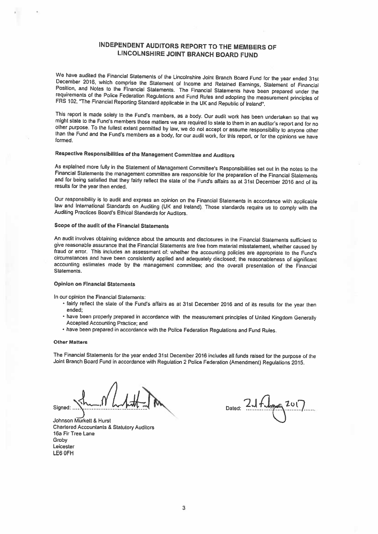# INDEPENDENT AUDITORS REPORT TO THE MEMBERS OF LINCOLNSHIRE JOINT BRANCH BOARD FUND

We have audited the Financial Statements of the Lincolnshire Joint Branch Board Fund for the year ended 31st<br>December 2016, which comprise the Statement of Income and Retained Earnings, Statement of Financial<br>Position, and

This report is made solely to the Fund's members, as a body. Our audit work has been undertaken so that we might state to the Fund's members those matters we are required to state to them in an auditor's report and for no

# Respective Responsibilities of the Management Committee and Auditors

As explained more fully in the Statement of Management Committee's Responsibilities set out in the notes to the<br>Financial Statements the management committee are responsible for the preparation of the Financial Statements<br> results for the year then ended.

Our responsibility is to audit and express an opinion on the Financial Statements in accordance with applicable law and International Standards on Auditing (UK and Ireland). Those standards require us to comply with the Au

#### Scope of the audit of the Financial Statements

An audit involves obtaining evidence about the amounts and disclosures in the Financial Statements sufficient to give reasonable assurance that the Financial Statements are free from material misstatement, whether caused b fraud or error. This includes an assessment of: whether the accounting policies are appropriate to the Fund's<br>circumstances and have been consistently applied and adequately disclosed; the reasonableness of significant accounting estimates made by the management committee; and the overall presentation of the Financial Statements.

#### Opinion on Financial Statements

In our opinion the Financial Statements:

- $\cdot$  fairly reflect the state of the Fund's affairs as at 31st December 2016 and of its results for the year then ended;
- have been properly prepared in accordance with the measurement principles of United Kingdom Generally Accepted Accounting Practice; and
- have been prepared in accordance with the Police Federation Regulations and Fund Rules.

#### Other Matters

The Financial Statements for the year ended 31st December <sup>2016</sup> includes all funds raised for the purpose of the Joint Branch Board Fund in accordance with Regulation <sup>2</sup> Police Federation (Amendment) Regulations 2015.

Signed: . Dated:

Johnson Murketi & Hurst Chartered Accountants & Statutory Auditors 16a Fir Tree Lane Groby Leicester LE6 OFH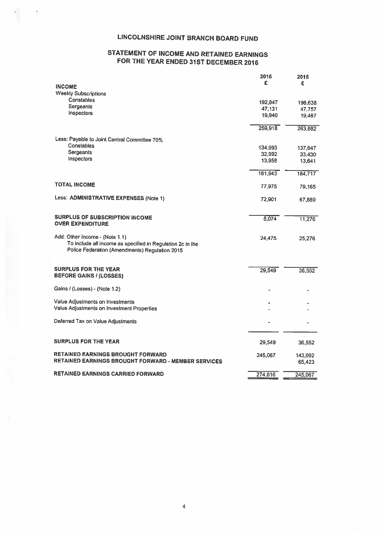# LINCOLNSHIRE JOINT BRANCH BOARD FUND

 $\tilde{r}_0$ 

# STATEMENT OF INCOME AND RETAINED EARNINGS FOR THE YEAR ENDED 31ST DECEMBER <sup>2016</sup>

|                                                                                                                                                | 2016    | 2015              |
|------------------------------------------------------------------------------------------------------------------------------------------------|---------|-------------------|
| <b>INCOME</b>                                                                                                                                  | £       | £                 |
| <b>Weekly Subscriptions</b>                                                                                                                    |         |                   |
| Constables                                                                                                                                     | 192,847 | 196,638           |
| Sergeants                                                                                                                                      | 47,131  | 47,757            |
| Inspectors                                                                                                                                     | 19.940  | 19,487            |
|                                                                                                                                                | 259,918 | 263,882           |
| Less: Payable to Joint Central Committee 70%                                                                                                   |         |                   |
| Constables                                                                                                                                     | 134,993 | 137,647           |
| Sergeants                                                                                                                                      | 32,992  | 33,430            |
| Inspectors                                                                                                                                     | 13,958  | 13,641            |
|                                                                                                                                                | 181,943 | 184,717           |
| <b>TOTAL INCOME</b>                                                                                                                            | 77,975  | 79,165            |
| Less: ADMINISTRATIVE EXPENSES (Note 1)                                                                                                         | 72,901  | 67,889            |
| SURPLUS OF SUBSCRIPTION INCOME                                                                                                                 | 5,074   | 11,276            |
| <b>OVER EXPENDITURE</b>                                                                                                                        |         |                   |
| Add: Other Income - (Note 1.1)<br>To include all income as specified in Regulation 2c in the<br>Police Federation (Amendments) Regulation 2015 | 24,475  | 25,276            |
| <b>SURPLUS FOR THE YEAR</b>                                                                                                                    | 29,549  | 36,552            |
| <b>BEFORE GAINS / (LOSSES)</b>                                                                                                                 |         |                   |
| Gains / (Losses) - (Note 1.2)                                                                                                                  |         |                   |
| Value Adjustments on Investments                                                                                                               |         |                   |
| Value Adjustments on Investment Properties                                                                                                     |         |                   |
| Deferred Tax on Value Adjustments                                                                                                              |         |                   |
| <b>SURPLUS FOR THE YEAR</b>                                                                                                                    | 29,549  | 36,552            |
| <b>RETAINED EARNINGS BROUGHT FORWARD</b>                                                                                                       |         |                   |
| <b>RETAINED EARNINGS BROUGHT FORWARD - MEMBER SERVICES</b>                                                                                     | 245,067 | 143,092<br>65,423 |
| <b>RETAINED EARNINGS CARRIED FORWARD</b>                                                                                                       | 274,616 | 245,067           |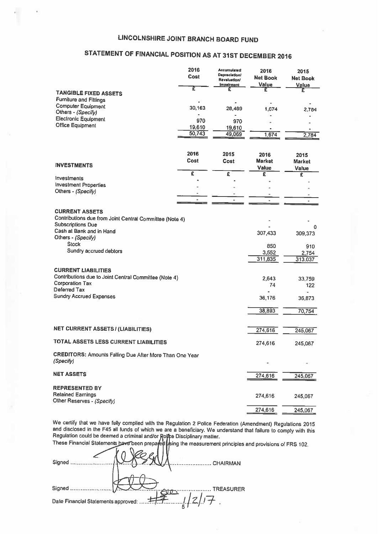# STATEMENT OF FINANCIAL POSITION AS AT 31ST DECEMBER <sup>2016</sup>

| LINCOLNSHIRE JOINT BRANCH BOARD FUND                                                                                                     |                          |                                                                  |                                       |                                  |
|------------------------------------------------------------------------------------------------------------------------------------------|--------------------------|------------------------------------------------------------------|---------------------------------------|----------------------------------|
| STATEMENT OF FINANCIAL POSITION AS AT 31ST DECEMBER 2016                                                                                 |                          |                                                                  |                                       |                                  |
|                                                                                                                                          | 2016<br>Cost             | <b>Accumulated</b><br>Depreciation/<br>Revaluation/<br>Imperment | 2016<br>Net Book<br>Value             | 2015<br><b>Net Book</b><br>Value |
| <b>TANGIBLE FIXED ASSETS</b><br><b>Furniture and Fittings</b>                                                                            | τ                        | £                                                                | £                                     | £                                |
| <b>Computer Equipment</b><br>Others - (Specify)<br><b>Electronic Equipment</b>                                                           | 30,163                   | 28,489                                                           | 1,674                                 | 2,784                            |
| <b>Office Equipment</b>                                                                                                                  | 970<br>19,610<br>50,743  | 970<br>19,610<br>49,069                                          | 1,674                                 | 2,784                            |
| <b>INVESTMENTS</b>                                                                                                                       | 2016<br>Cost             | 2015<br>Cost                                                     | 2016<br><b>Market</b><br><b>Value</b> | 2015<br>Market<br>Value          |
| Investments<br><b>Investment Properties</b><br>Others - (Specify)                                                                        | £<br>$\blacksquare$<br>٠ | $\overline{\epsilon}$<br>٠                                       | £<br>$\blacksquare$                   | £<br>٠                           |
| <b>CURRENT ASSETS</b><br>Contributions due from Joint Central Committee (Note 4)<br><b>Subscriptions Due</b><br>Cash at Bank and in Hand |                          |                                                                  | 307,433                               | 0<br>309,373                     |
| Others - (Specify)<br><b>Stock</b><br>Sundry accrued debtors                                                                             |                          |                                                                  | 850<br>3,552<br>311,835               | 910<br>2,754<br>313,037          |
| <b>CURRENT LIABILITIES</b><br>Contributions due to Joint Central Committee (Note 4)<br><b>Corporation Tax</b><br>Deferred Tax            |                          | 2.643<br>74                                                      | 33,759<br>122                         |                                  |
| <b>Sundry Accrued Expenses</b>                                                                                                           |                          |                                                                  | 36,176                                | 36,873                           |
|                                                                                                                                          |                          |                                                                  | 38,893                                | 70,754                           |
| <b>NET CURRENT ASSETS / (LIABILITIES)</b>                                                                                                |                          |                                                                  | 274,616                               | 245,067                          |
| <b>TOTAL ASSETS LESS CURRENT LIABILITIES</b><br><b>CREDITORS: Amounts Falling Due After More Than One Year</b><br>(Specify)              |                          |                                                                  | 274,616                               | 245,067                          |
| <b>NET ASSETS</b>                                                                                                                        |                          |                                                                  | 274,616                               | 245,067                          |
| <b>REPRESENTED BY</b><br><b>Retained Earnings</b><br>Other Reserves - (Specify)                                                          |                          |                                                                  | 274,616                               | 245,067                          |
|                                                                                                                                          |                          |                                                                  | 274,616                               | 245,067                          |

We certify that we have fully complied with the Regulation <sup>2</sup> Police Federation (Amendment) Regulations <sup>2015</sup> and disclosed in the F45 all funds of which we are <sup>a</sup> beneficiary. We understand that failure to comply with this Regulation could be deemed a criminal and/or **Roll**ce Disciplinary matter. These Financial Statements have been prepared Lising the measurement principles and provisions of FRS 102.

| Signed                              | CHAIRMAN         |
|-------------------------------------|------------------|
|                                     |                  |
| Signed                              | <b>TREASURER</b> |
| Date Financial Statements approved: | 1/2/7            |
|                                     | -5               |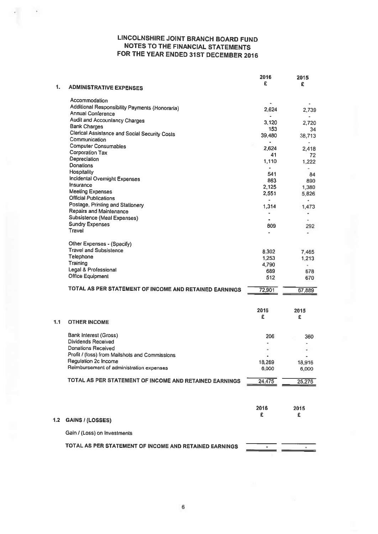$\overline{\phantom{a}}$ 

|     |                                                                      | 2016            | 2015            |
|-----|----------------------------------------------------------------------|-----------------|-----------------|
| 1.  | <b>ADMINISTRATIVE EXPENSES</b>                                       | £               | £               |
|     | Accommodation                                                        |                 |                 |
|     | Additional Responsibility Payments (Honoraria)                       | 2,624           | 2,739           |
|     | <b>Annual Conference</b>                                             | $\blacksquare$  |                 |
|     | <b>Audit and Accountancy Charges</b>                                 | 3,120           | 2.720           |
|     | <b>Bank Charges</b><br>Clerical Assistance and Social Security Costs | 153             | 34              |
|     | Communication                                                        | 39,480          | 38,713          |
|     | <b>Computer Consumables</b>                                          | 2.624           |                 |
|     | <b>Corporation Tax</b>                                               | 41              | 2,418<br>72     |
|     | Depreciation                                                         | 1.110           | 1.222           |
|     | Donations                                                            | ٠               | ۰               |
|     | Hospitality                                                          | 541             | 84              |
|     | Incidental Overnight Expenses<br>Insurance                           | 863             | 890             |
|     | <b>Meeting Expenses</b>                                              | 2,125           | 1,380           |
|     | <b>Official Publications</b>                                         | 2,551           | 5,826           |
|     | Postage, Printing and Stationery                                     | ٠<br>1,314      | ٠<br>1,473      |
|     | Repairs and Maintenance                                              |                 | ٠               |
|     | Subsistence (Meal Expenses)                                          |                 |                 |
|     | <b>Sundry Expenses</b>                                               | 809             | 292             |
|     | Travel                                                               |                 | ٠               |
|     | Other Expenses - (Specify)                                           |                 |                 |
|     | <b>Travel and Subsistence</b>                                        | 8,302           | 7,465           |
|     | Telephone                                                            | 1,253           | 1,213           |
|     | Training                                                             | 4,790           |                 |
|     | Legal & Professional<br><b>Office Equipment</b>                      | 689             | 678             |
|     |                                                                      | 512             | 670             |
|     | TOTAL AS PER STATEMENT OF INCOME AND RETAINED EARNINGS               | 72,901          | 67,889          |
|     |                                                                      |                 |                 |
|     |                                                                      | 2016            | 2015            |
| 1.1 | <b>OTHER INCOME</b>                                                  | £               | £               |
|     |                                                                      |                 |                 |
|     | <b>Bank Interest (Gross)</b>                                         | 206             | 360             |
|     | <b>Dividends Received</b>                                            |                 |                 |
|     | <b>Donations Received</b>                                            |                 |                 |
|     | Profit / (loss) from Mailshots and Commissions                       | ٠               |                 |
|     | Regulation 2c Income<br>Reimbursement of administration expenses     | 18,269<br>6,000 | 18,916<br>6.000 |
|     |                                                                      |                 |                 |
|     | TOTAL AS PER STATEMENT OF INCOME AND RETAINED EARNINGS               | 24,475          | 25,276          |
|     |                                                                      |                 |                 |
|     |                                                                      | 2016            | 2015            |
|     |                                                                      | £               | £               |
| 1.2 | <b>GAINS / (LOSSES)</b>                                              |                 |                 |
|     | Gain / (Loss) on Investments                                         |                 |                 |
|     | TOTAL AS PER STATEMENT OF INCOME AND RETAINED EARNINGS               |                 |                 |
|     |                                                                      |                 |                 |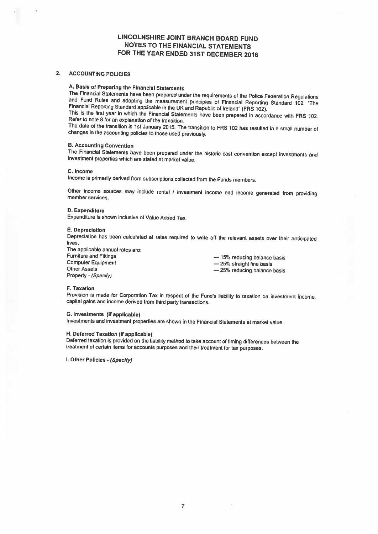### 2. ACCOUNTING POLICIES

A. Basis of Preparing the Financial Statements<br>The Financial Statements have been prepared under the requirements of the Police Federation Regulations and Fund Rules and adopting the measurement principles of Financial Reporting Standard 102, "The<br>Financial Reporting Standard applicable in the UK and Republic of Ireland" (FRS 102).<br>This is the first year in which the Fin

The date of the transition is 1st January 2015. The transition to FRS <sup>102</sup> has resulted in <sup>a</sup> small number of changes in the accounting policies to those used previously.

## B. Accounting Convention

The Financial Statements have been prepared under the historic cost convention except investments and investment properties which are stated at market value.

#### C. Income

Income is primarily derived from subscriptions collected from the Funds members.

Other income sources may include rental / investment income and income generated from providing member services.

#### D. Expenditure

Expenditure is shown inclusive of Value Added Tax.

#### E. Depreciation

Depreciation has been calculated at rates required to write off the relevant assets over their anticipated lives.

The applicable annual rates are:

Property - (Specify)

Furniture and Fittings<br>
Computer Equipment<br>
Other Assets<br>
Other Assets<br>  $\begin{array}{r} - 25\% \text{ straight line basis} \\ - 25\% \text{ + radius of the basis} \\ - 25\% \text{ + radius of the basis} \end{array}$ — 25% reducing balance basis

#### F. Taxation

Provision is made for Corporation Tax in respect of the Fund's liability to taxation on investment income, capital gains and income derived from third party transactions.

#### G. Investments (if applicable)

Investments and investment properties are shown in the Financial Statements at market value.

#### H. Deferred Taxation (if applicable)

Deferred taxation is provided on the liability method to take account of timing differences between the treatment of certain items for accounts purposes and their treatment for tax purposes.

I. Other Policies - (Specify)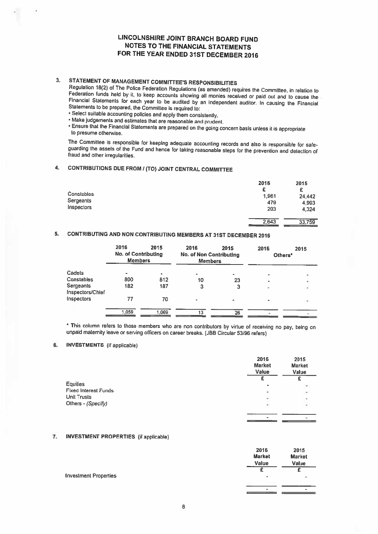3. STATEMENT OF MANAGEMENT COMMITTEE'S RESPONSIBILITIES<br>Regulation 18(2) of The Police Federation Regulations (as amended) requires the Committee, in relation to Federation funds held by it, to keep accounts showing all monies received or paid out and to cause the<br>Financial Statements for each year to be audited by an independent auditor. In causing the Financial<br>Statements to be p

- Select suitable accounting policies and apply them consistently.
- Make judgements and estimates that are reasonable and prudent.
- Ensure that the Financial Statements are prepared on the going concern basis unless it is appropriate to presume otherwise,

The Committee is responsible for keeping adequate accounting records and also is responsible for safe-<br>guarding the assets of the Fund and hence for taking reasonable steps for the prevention and detection of<br>fraud and oth

## 4. CONTRIBUTIONS DUE FROM <sup>I</sup> (TO) JOINT CENTRAL COMMITTEE

|                   | 2016  | 2015   |
|-------------------|-------|--------|
|                   | £     | £      |
| <b>Constables</b> | 1,961 | 24,442 |
| Sergeants         | 479   | 4.993  |
| Inspectors        | 203   | 4,324  |
|                   |       |        |
|                   | 2,643 | 33,759 |

## 5. CONTRIBUTING AND NON CONTRIBUTING MEMBERS AT 31ST DECEMBER <sup>2016</sup>

|                               | 2016<br><b>No. of Contributing</b><br><b>Members</b> | 2015  | 2016<br><b>No. of Non Contributing</b><br><b>Members</b> | 2015 | 2016<br>Others*          | 2015 |
|-------------------------------|------------------------------------------------------|-------|----------------------------------------------------------|------|--------------------------|------|
| Cadets                        |                                                      |       | a.                                                       |      |                          | ٠    |
| Constables                    | 800                                                  | 812   | 10                                                       | 23   | $\blacksquare$           | ٠    |
| Sergeants<br>Inspectors/Chief | 182                                                  | 187   | 3                                                        |      | $\overline{\phantom{a}}$ | ٠    |
| Inspectors                    | 77                                                   | 70    |                                                          |      | ٠                        | ×    |
|                               | 1,059                                                | 1,069 | 13                                                       | 26   |                          |      |

\* This column refers to those members who are non contributors by virtue of receiving no pay, being on unpaid maternity leave or serving otficers on career breaks. (JBB Circular 53/96 refers)

### 6. INVESTMENTS (if applicable)

|                             | 2016<br><b>Market</b><br>Value | 2015<br><b>Market</b><br>Value |
|-----------------------------|--------------------------------|--------------------------------|
|                             |                                |                                |
| <b>Equities</b>             | ٠                              | ٠                              |
| <b>Fixed Interest Funds</b> | $\blacksquare$                 | 98                             |
| Unit Trusts                 | $\blacksquare$                 |                                |
| Others - (Specify)          | $\,$                           | ŗ.                             |
|                             |                                |                                |
|                             |                                |                                |

### 7. INVESTMENT PROPERTIES (ii applicable)

|                              | 2016          | 2015           |
|------------------------------|---------------|----------------|
|                              | <b>Market</b> | <b>Market</b>  |
|                              | Value         | Value          |
|                              |               |                |
| <b>Investment Properties</b> | ٠             | $\sim$         |
|                              |               |                |
|                              | $\,$          | $\blacksquare$ |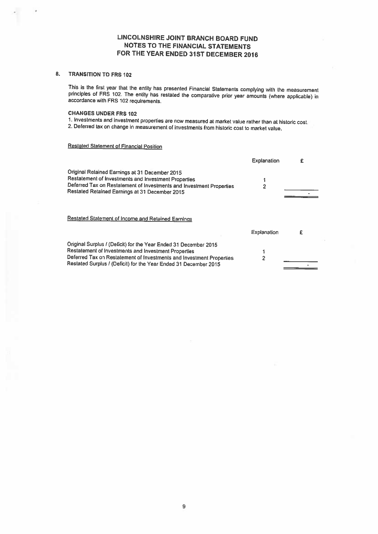# 8. TRANSITION To FRS 102

This is the first year that the entity has presented Financial Statements complying with the measurement principles of FRS 102. The entity has restated the comparative prior year amounts (where applicable) in accordance with FRS 102 requirements.

### CHANGES UNDER FRS 102

<sup>1</sup> Investments and investment properties are now measured at market value rather than at historic cost.

2. Deferred tax on change in measurement of investments from historic cost to market value.

## Restated Statement of Financial Position

|                                                                                                                                                                                                                                                                      | Explanation | f |
|----------------------------------------------------------------------------------------------------------------------------------------------------------------------------------------------------------------------------------------------------------------------|-------------|---|
| Original Retained Earnings at 31 December 2015<br>Restatement of Investments and Investment Properties<br>Deferred Tax on Restatement of Investments and Investment Properties<br>Restated Retained Earnings at 31 December 2015                                     | 2           |   |
| Restated Statement of Income and Retained Earnings                                                                                                                                                                                                                   |             |   |
|                                                                                                                                                                                                                                                                      | Explanation | £ |
| Original Surplus / (Deficit) for the Year Ended 31 December 2015<br>Restatement of Investments and Investment Properties<br>Deferred Tax on Restatement of Investments and Investment Properties<br>Restated Surplus / (Deficit) for the Year Ended 31 December 2015 | 2           |   |